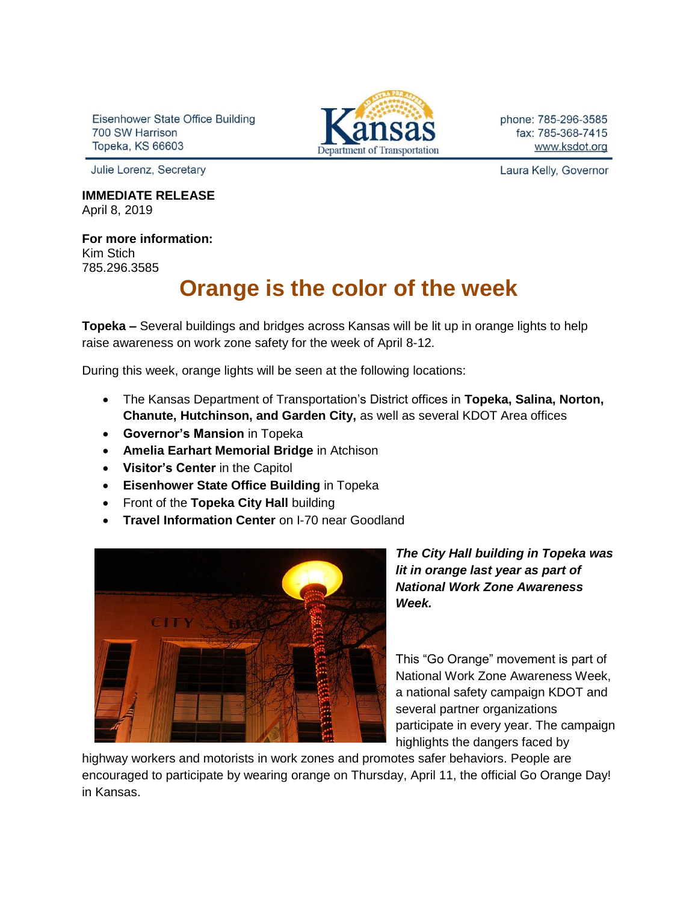Eisenhower State Office Building 700 SW Harrison **Topeka, KS 66603** 



phone: 785-296-3585 fax: 785-368-7415 www.ksdot.org

Julie Lorenz, Secretary

**IMMEDIATE RELEASE** April 8, 2019

**For more information:** Kim Stich 785.296.3585

## **Orange is the color of the week**

**Topeka –** Several buildings and bridges across Kansas will be lit up in orange lights to help raise awareness on work zone safety for the week of April 8-12.

During this week, orange lights will be seen at the following locations:

- The Kansas Department of Transportation's District offices in **Topeka, Salina, Norton, Chanute, Hutchinson, and Garden City,** as well as several KDOT Area offices
- **Governor's Mansion** in Topeka
- **Amelia Earhart Memorial Bridge** in Atchison
- **Visitor's Center** in the Capitol
- **Eisenhower State Office Building** in Topeka
- Front of the **Topeka City Hall** building
- **Travel Information Center** on I-70 near Goodland



*The City Hall building in Topeka was lit in orange last year as part of National Work Zone Awareness Week.*

This "Go Orange" movement is part of National Work Zone Awareness Week, a national safety campaign KDOT and several partner organizations participate in every year. The campaign highlights the dangers faced by

highway workers and motorists in work zones and promotes safer behaviors. People are encouraged to participate by wearing orange on Thursday, April 11, the official Go Orange Day! in Kansas.

Laura Kelly, Governor